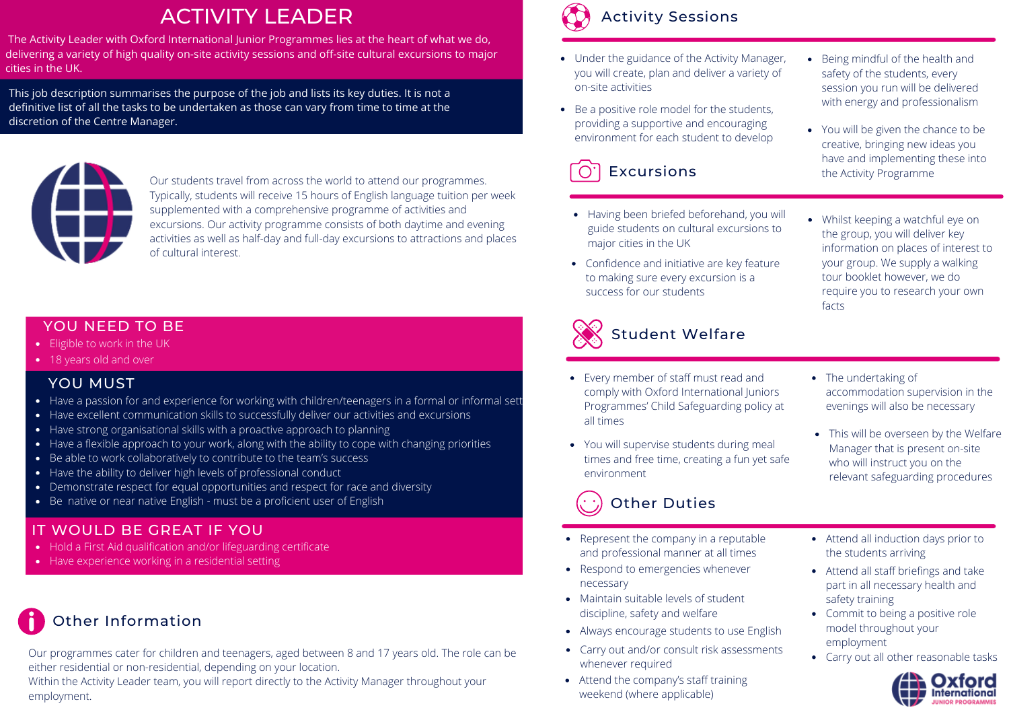# ACTIVITY LEADER

The Activity Leader with Oxford International Junior Programmes lies at the heart of what we do, delivering a variety of high quality on-site activity sessions and off-site cultural excursions to major cities in the UK.

This job description summarises the purpose of the job and lists its key duties. It is not a definitive list of all the tasks to be undertaken as those can vary from time to time at the discretion of the Centre Manager.



Our students travel from across the world to attend our programmes. Typically, students will receive 15 hours of English language tuition per week supplemented with a comprehensive programme of activities and excursions. Our activity programme consists of both daytime and evening activities as well as half-day and full-day excursions to attractions and places of cultural interest.

### YOU NEED TO BE

- Eligible to work in the UK
- 18 years old and over

### YOU MUST

- Have a passion for and experience for working with children/teenagers in a formal or informal sett
- Have excellent communication skills to successfully deliver our activities and excursions
- Have strong organisational skills with a proactive approach to planning
- Have a flexible approach to your work, along with the ability to cope with changing priorities
- Be able to work collaboratively to contribute to the team's success
- Have the ability to deliver high levels of professional conduct
- Demonstrate respect for equal opportunities and respect for race and diversity
- Be native or near native English must be a proficient user of English

## IT WOULD BE GREAT IF YOU

- Hold a First Aid qualification and/or lifeguarding certificate
- Have experience working in a residential setting

# Other Information

Our programmes cater for children and teenagers, aged between 8 and 17 years old. The role can be either residential or non-residential, depending on your location.

Within the Activity Leader team, you will report directly to the Activity Manager throughout your employment.



# Activity Sessions

- Under the guidance of the Activity Manager, you will create, plan and deliver a variety of on-site activities
- with energy and professionalism Be a positive role model for the students, providing a supportive and encouraging providing a supportive and encouraging<br>environment for each student to develop



- Having been briefed beforehand, you will guide students on cultural excursions to major cities in the UK
- Confidence and initiative are key feature to making sure every excursion is a success for our students



- Every member of staff must read and comply with Oxford International Juniors Programmes' Child Safeguarding policy at all times
- You will supervise students during meal times and free time, creating a fun yet safe environment

# Other Duties

- Represent the company in a reputable and professional manner at all times
- Respond to emergencies whenever necessary
- Maintain suitable levels of student discipline, safety and welfare
- Always encourage students to use English
- Carry out and/or consult risk assessments whenever required
- Attend the company's staff training weekend (where applicable)
- Being mindful of the health and safety of the students, every session you run will be delivered
- creative, bringing new ideas you have and implementing these into **Excursions** the Activity Programme
	- Whilst keeping a watchful eye on the group, you will deliver key information on places of interest to your group. We supply a walking tour booklet however, we do require you to research your own facts
	- The undertaking of accommodation supervision in the evenings will also be necessary
	- This will be overseen by the Welfare Manager that is present on-site who will instruct you on the relevant safeguarding procedures
	- Attend all induction days prior to the students arriving
	- Attend all staff briefings and take part in all necessary health and safety training
	- Commit to being a positive role model throughout your employment
	- Carry out all other reasonable tasks